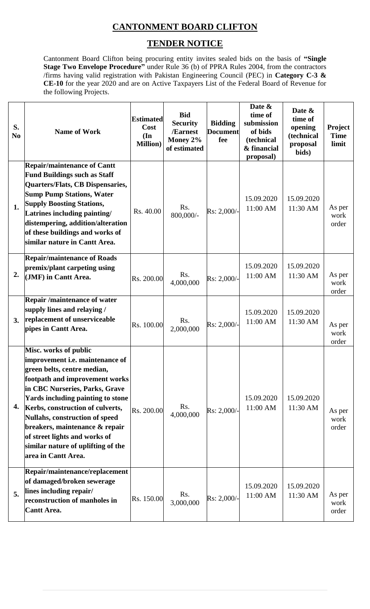## **CANTONMENT BOARD CLIFTON**

## **TENDER NOTICE**

Cantonment Board Clifton being procuring entity invites sealed bids on the basis of **"Single Stage Two Envelope Procedure"** under Rule 36 (b) of PPRA Rules 2004, from the contractors /firms having valid registration with Pakistan Engineering Council (PEC) in **Category C-3 & CE-10** for the year 2020 and are on Active Taxpayers List of the Federal Board of Revenue for the following Projects.

| S.<br>N <sub>0</sub> | <b>Name of Work</b>                                                                                                                                                                                                                                                                                                                                                                                    | <b>Estimated</b><br>Cost<br>$(\mathbf{In})$<br><b>Million</b> ) | <b>Bid</b><br><b>Security</b><br>/Earnest<br>Money 2%<br>of estimated | <b>Bidding</b><br><b>Document</b><br>fee | Date &<br>time of<br>submission<br>of bids<br>(technical<br>& financial<br>proposal) | Date &<br>time of<br>opening<br>(technical<br>proposal<br>bids) | <b>Project</b><br><b>Time</b><br>limit |
|----------------------|--------------------------------------------------------------------------------------------------------------------------------------------------------------------------------------------------------------------------------------------------------------------------------------------------------------------------------------------------------------------------------------------------------|-----------------------------------------------------------------|-----------------------------------------------------------------------|------------------------------------------|--------------------------------------------------------------------------------------|-----------------------------------------------------------------|----------------------------------------|
| 1.                   | <b>Repair/maintenance of Cantt</b><br><b>Fund Buildings such as Staff</b><br>Quarters/Flats, CB Dispensaries,<br><b>Sump Pump Stations, Water</b><br><b>Supply Boosting Stations,</b><br>Latrines including painting/<br>distempering, addition/alteration<br>of these buildings and works of<br>similar nature in Cantt Area.                                                                         | Rs. 40.00                                                       | Rs.<br>800,000/-                                                      | Rs: 2,000/-                              | 15.09.2020<br>11:00 AM                                                               | 15.09.2020<br>11:30 AM                                          | As per<br>work<br>order                |
| 2.                   | <b>Repair/maintenance of Roads</b><br>premix/plant carpeting using<br>(JMF) in Cantt Area.                                                                                                                                                                                                                                                                                                             | Rs. 200.00                                                      | Rs.<br>4,000,000                                                      | Rs: 2,000/-                              | 15.09.2020<br>11:00 AM                                                               | 15.09.2020<br>11:30 AM                                          | As per<br>work<br>order                |
| 3.                   | <b>Repair /maintenance of water</b><br>supply lines and relaying /<br>replacement of unserviceable<br>pipes in Cantt Area.                                                                                                                                                                                                                                                                             | Rs. 100.00                                                      | Rs.<br>2,000,000                                                      | Rs: 2,000/-                              | 15.09.2020<br>11:00 AM                                                               | 15.09.2020<br>11:30 AM                                          | As per<br>work<br>order                |
| 4.                   | Misc. works of public<br>improvement i.e. maintenance of<br>green belts, centre median,<br>footpath and improvement works<br>in CBC Nurseries, Parks, Grave<br>Yards including painting to stone<br>Kerbs, construction of culverts,<br>Nullahs, construction of speed<br>breakers, maintenance & repair<br>of street lights and works of<br>similar nature of uplifting of the<br>area in Cantt Area. | Rs. 200.00                                                      | Rs.<br>4,000,000                                                      | Rs: 2,000/-                              | 15.09.2020<br>11:00 AM                                                               | 15.09.2020<br>11:30 AM                                          | As per<br>work<br>order                |
| 5.                   | Repair/maintenance/replacement<br>of damaged/broken sewerage<br>lines including repair/<br>reconstruction of manholes in<br><b>Cantt Area.</b>                                                                                                                                                                                                                                                         | Rs. 150.00                                                      | Rs.<br>3,000,000                                                      | Rs: 2,000/-                              | 15.09.2020<br>11:00 AM                                                               | 15.09.2020<br>11:30 AM                                          | As per<br>work<br>order                |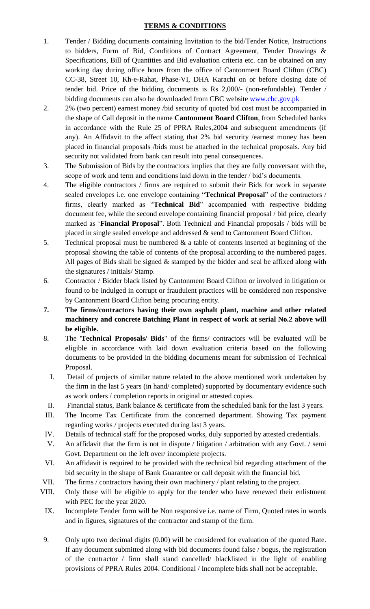## **TERMS & CONDITIONS**

- 1. Tender / Bidding documents containing Invitation to the bid/Tender Notice, Instructions to bidders, Form of Bid, Conditions of Contract Agreement, Tender Drawings & Specifications, Bill of Quantities and Bid evaluation criteria etc. can be obtained on any working day during office hours from the office of Cantonment Board Clifton (CBC) CC-38, Street 10, Kh-e-Rahat, Phase-VI, DHA Karachi on or before closing date of tender bid. Price of the bidding documents is Rs 2,000/- (non-refundable). Tender / bidding documents can also be downloaded from CBC website [www.cbc.gov.pk](http://www.cbc.gov.pk/)
- 2. 2% (two percent) earnest money /bid security of quoted bid cost must be accompanied in the shape of Call deposit in the name **Cantonment Board Clifton**, from Scheduled banks in accordance with the Rule 25 of PPRA Rules,2004 and subsequent amendments (if any). An Affidavit to the affect stating that 2% bid security /earnest money has been placed in financial proposals /bids must be attached in the technical proposals. Any bid security not validated from bank can result into penal consequences.
- 3. The Submission of Bids by the contractors implies that they are fully conversant with the, scope of work and term and conditions laid down in the tender / bid's documents.
- 4. The eligible contractors / firms are required to submit their Bids for work in separate sealed envelopes i.e. one envelope containing "**Technical Proposal**" of the contractors / firms, clearly marked as "**Technical Bid**" accompanied with respective bidding document fee, while the second envelope containing financial proposal / bid price, clearly marked as '**Financial Proposal**". Both Technical and Financial proposals / bids will be placed in single sealed envelope and addressed & send to Cantonment Board Clifton.
- 5. Technical proposal must be numbered & a table of contents inserted at beginning of the proposal showing the table of contents of the proposal according to the numbered pages. All pages of Bids shall be signed  $&$  stamped by the bidder and seal be affixed along with the signatures / initials/ Stamp.
- 6. Contractor / Bidder black listed by Cantonment Board Clifton or involved in litigation or found to be indulged in corrupt or fraudulent practices will be considered non responsive by Cantonment Board Clifton being procuring entity.
- **7. The firms/contractors having their own asphalt plant, machine and other related machinery and concrete Batching Plant in respect of work at serial No.2 above will be eligible.**
- 8. The '**Technical Proposals/ Bids**" of the firms/ contractors will be evaluated will be eligible in accordance with laid down evaluation criteria based on the following documents to be provided in the bidding documents meant for submission of Technical Proposal.
	- I. Detail of projects of similar nature related to the above mentioned work undertaken by the firm in the last 5 years (in hand/ completed) supported by documentary evidence such as work orders / completion reports in original or attested copies.
- II. Financial status, Bank balance & certificate from the scheduled bank for the last 3 years.
- III. The Income Tax Certificate from the concerned department. Showing Tax payment regarding works / projects executed during last 3 years.
- IV. Details of technical staff for the proposed works, duly supported by attested credentials.
- V. An affidavit that the firm is not in dispute / litigation / arbitration with any Govt. / semi Govt. Department on the left over/ incomplete projects.
- VI. An affidavit is required to be provided with the technical bid regarding attachment of the bid security in the shape of Bank Guarantee or call deposit with the financial bid.
- VII. The firms / contractors having their own machinery / plant relating to the project.
- VIII. Only those will be eligible to apply for the tender who have renewed their enlistment with PEC for the year 2020.
- IX. Incomplete Tender form will be Non responsive i.e. name of Firm, Quoted rates in words and in figures, signatures of the contractor and stamp of the firm.
- 9. Only upto two decimal digits (0.00) will be considered for evaluation of the quoted Rate. If any document submitted along with bid documents found false / bogus, the registration of the contractor / firm shall stand cancelled/ blacklisted in the light of enabling provisions of PPRA Rules 2004. Conditional / Incomplete bids shall not be acceptable.